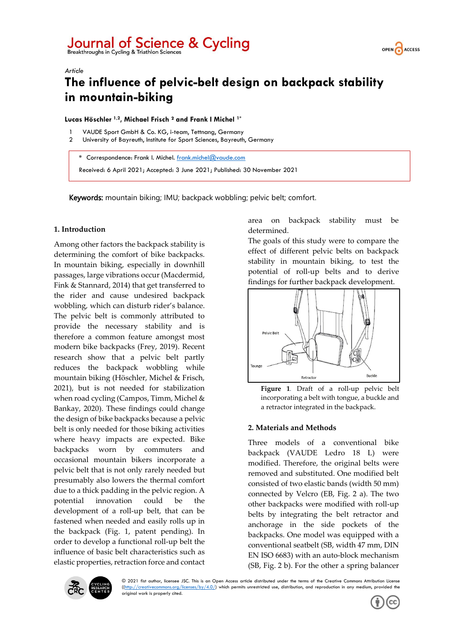# Journal of Science & Cycling<br>Breakthroughs in Cycling & Triathlon Sciences



# *Article* **The influence of pelvic-belt design on backpack stability in mountain-biking**

# **Lucas Höschler 1,2, Michael Frisch ² and Frank I Michel 1\***

- VAUDE Sport GmbH & Co. KG, i-team, Tettnang, Germany
- 2 University of Bayreuth, Institute for Sport Sciences, Bayreuth, Germany

**\*** Correspondence: Frank I. Michel. [frank.michel@vaude.com](mailto:frank.michel@vaude.com)

Received: 6 April 2021; Accepted: 3 June 2021; Published: 30 November 2021

Keywords: mountain biking; IMU; backpack wobbling; pelvic belt; comfort.

# **1. Introduction**

Among other factors the backpack stability is determining the comfort of bike backpacks. In mountain biking, especially in downhill passages, large vibrations occur (Macdermid, Fink & Stannard, 2014) that get transferred to the rider and cause undesired backpack wobbling, which can disturb rider's balance. The pelvic belt is commonly attributed to provide the necessary stability and is therefore a common feature amongst most modern bike backpacks (Frey, 2019). Recent research show that a pelvic belt partly reduces the backpack wobbling while mountain biking (Höschler, Michel & Frisch, 2021), but is not needed for stabilization when road cycling (Campos, Timm, Michel & Bankay, 2020). These findings could change the design of bike backpacks because a pelvic belt is only needed for those biking activities where heavy impacts are expected. Bike backpacks worn by commuters and occasional mountain bikers incorporate a pelvic belt that is not only rarely needed but presumably also lowers the thermal comfort due to a thick padding in the pelvic region. A potential innovation could be the development of a roll-up belt, that can be fastened when needed and easily rolls up in the backpack (Fig. 1, patent pending). In order to develop a functional roll-up belt the influence of basic belt characteristics such as elastic properties, retraction force and contact area on backpack stability must be determined.

The goals of this study were to compare the effect of different pelvic belts on backpack stability in mountain biking, to test the potential of roll-up belts and to derive findings for further backpack development.



**Figure 1***.* Draft of a roll-up pelvic belt incorporating a belt with tongue, a buckle and a retractor integrated in the backpack.

# **2. Materials and Methods**

Three models of a conventional bike backpack (VAUDE Ledro 18 L) were modified. Therefore, the original belts were removed and substituted. One modified belt consisted of two elastic bands (width 50 mm) connected by Velcro (EB, Fig. 2 a). The two other backpacks were modified with roll-up belts by integrating the belt retractor and anchorage in the side pockets of the backpacks. One model was equipped with a conventional seatbelt (SB, width 47 mm, DIN EN ISO 6683) with an auto-block mechanism (SB, Fig. 2 b). For the other a spring balancer



© 2021 fist author, licensee JSC. This is an Open Access article distributed under the terms of the Creative Commons Attribution License  $(\text{http://creativecommons.org/licenses/by/4.0/">\nti(narrow)$  (finitions  $\text{http://creativecommons.org/licenses/by/4.0/">\nti(narrow)$  which permits unrestricted use, distribution, and reproduction in any medium, provided the original work is properly cited.

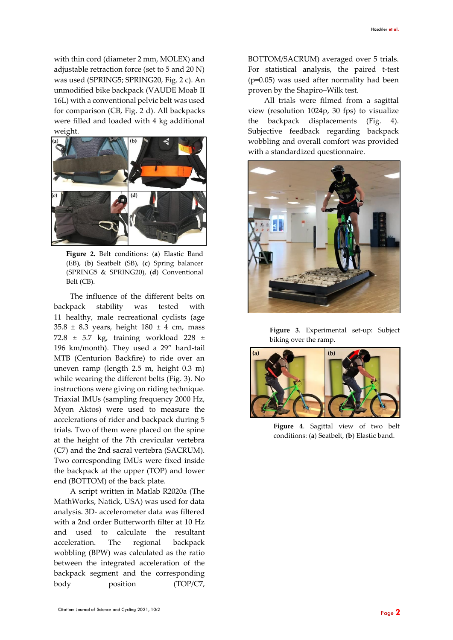with thin cord (diameter 2 mm, MOLEX) and adjustable retraction force (set to 5 and 20 N) was used (SPRING5; SPRING20, Fig. 2 c). An unmodified bike backpack (VAUDE Moab II 16L) with a conventional pelvic belt was used for comparison (CB, Fig. 2 d). All backpacks were filled and loaded with 4 kg additional weight.



**Figure 2.** Belt conditions: (**a**) Elastic Band (EB), (**b**) Seatbelt (SB), (**c**) Spring balancer (SPRING5 & SPRING20), (**d**) Conventional Belt (CB).

The influence of the different belts on backpack stability was tested with 11 healthy, male recreational cyclists (age  $35.8 \pm 8.3$  years, height  $180 \pm 4$  cm, mass 72.8 ± 5.7 kg, training workload 228 ± 196 km/month). They used a 29" hard-tail MTB (Centurion Backfire) to ride over an uneven ramp (length 2.5 m, height 0.3 m) while wearing the different belts (Fig. 3). No instructions were giving on riding technique. Triaxial IMUs (sampling frequency 2000 Hz, Myon Aktos) were used to measure the accelerations of rider and backpack during 5 trials. Two of them were placed on the spine at the height of the 7th crevicular vertebra (C7) and the 2nd sacral vertebra (SACRUM). Two corresponding IMUs were fixed inside the backpack at the upper (TOP) and lower end (BOTTOM) of the back plate.

A script written in Matlab R2020a (The MathWorks, Natick, USA) was used for data analysis. 3D- accelerometer data was filtered with a 2nd order Butterworth filter at 10 Hz and used to calculate the resultant acceleration. The regional backpack wobbling (BPW) was calculated as the ratio between the integrated acceleration of the backpack segment and the corresponding body position (TOP/C7, BOTTOM/SACRUM) averaged over 5 trials. For statistical analysis, the paired t-test (p=0.05) was used after normality had been proven by the Shapiro–Wilk test.

All trials were filmed from a sagittal view (resolution 1024p, 30 fps) to visualize the backpack displacements (Fig. 4). Subjective feedback regarding backpack wobbling and overall comfort was provided with a standardized questionnaire.



**Figure 3**. Experimental set-up: Subject biking over the ramp.



**Figure 4**. Sagittal view of two belt conditions: (**a**) Seatbelt, (**b**) Elastic band.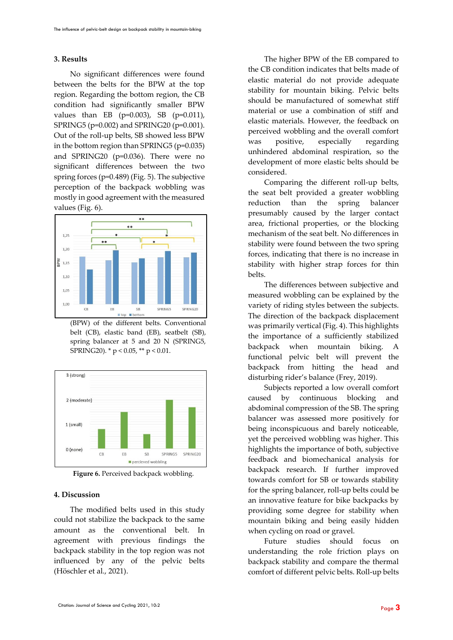#### **3. Results**

No significant differences were found between the belts for the BPW at the top region. Regarding the bottom region, the CB condition had significantly smaller BPW values than EB (p=0.003), SB (p=0.011), SPRING5 (p=0.002) and SPRING20 (p=0.001). Out of the roll-up belts, SB showed less BPW in the bottom region than SPRING5 (p=0.035) and SPRING20 (p=0.036). There were no significant differences between the two spring forces (p=0.489) (Fig. 5). The subjective perception of the backpack wobbling was mostly in good agreement with the measured values (Fig. 6).



(BPW) of the different belts. Conventional belt (CB), elastic band (EB), seatbelt (SB), spring balancer at 5 and 20 N (SPRING5, SPRING20). \* p < 0.05, \*\* p < 0.01.



Figure 6. Perceived backpack wobbling.

## **4. Discussion**

The modified belts used in this study could not stabilize the backpack to the same amount as the conventional belt. In agreement with previous findings the backpack stability in the top region was not influenced by any of the pelvic belts (Höschler et al., 2021).

The higher BPW of the EB compared to the CB condition indicates that belts made of elastic material do not provide adequate stability for mountain biking. Pelvic belts should be manufactured of somewhat stiff material or use a combination of stiff and elastic materials. However, the feedback on perceived wobbling and the overall comfort was positive, especially regarding unhindered abdominal respiration, so the development of more elastic belts should be considered.

Comparing the different roll-up belts, the seat belt provided a greater wobbling reduction than the spring balancer presumably caused by the larger contact area, frictional properties, or the blocking mechanism of the seat belt. No differences in stability were found between the two spring forces, indicating that there is no increase in stability with higher strap forces for thin belts.

The differences between subjective and measured wobbling can be explained by the variety of riding styles between the subjects. The direction of the backpack displacement was primarily vertical (Fig. 4). This highlights the importance of a sufficiently stabilized backpack when mountain biking. A functional pelvic belt will prevent the backpack from hitting the head and disturbing rider's balance (Frey, 2019).

Subjects reported a low overall comfort caused by continuous blocking and abdominal compression of the SB. The spring balancer was assessed more positively for being inconspicuous and barely noticeable, yet the perceived wobbling was higher. This highlights the importance of both, subjective feedback and biomechanical analysis for backpack research. If further improved towards comfort for SB or towards stability for the spring balancer, roll-up belts could be an innovative feature for bike backpacks by providing some degree for stability when mountain biking and being easily hidden when cycling on road or gravel.

Future studies should focus on understanding the role friction plays on backpack stability and compare the thermal comfort of different pelvic belts. Roll-up belts